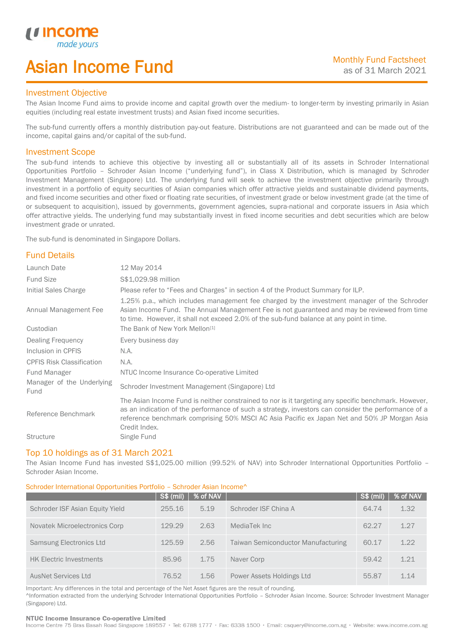## Asian Income Fund

### Investment Objective

*u* incom

I

The Asian Income Fund aims to provide income and capital growth over the medium- to longer-term by investing primarily in Asian equities (including real estate investment trusts) and Asian fixed income securities.

The sub-fund currently offers a monthly distribution pay-out feature. Distributions are not guaranteed and can be made out of the income, capital gains and/or capital of the sub-fund.

#### Investment Scope

The sub-fund intends to achieve this objective by investing all or substantially all of its assets in Schroder International Opportunities Portfolio – Schroder Asian Income ("underlying fund"), in Class X Distribution, which is managed by Schroder Investment Management (Singapore) Ltd. The underlying fund will seek to achieve the investment objective primarily through investment in a portfolio of equity securities of Asian companies which offer attractive yields and sustainable dividend payments, and fixed income securities and other fixed or floating rate securities, of investment grade or below investment grade (at the time of or subsequent to acquisition), issued by governments, government agencies, supra-national and corporate issuers in Asia which offer attractive yields. The underlying fund may substantially invest in fixed income securities and debt securities which are below investment grade or unrated.

The sub-fund is denominated in Singapore Dollars.

## Fund Details

| Launch Date                       | 12 May 2014                                                                                                                                                                                                                                                                                                                 |
|-----------------------------------|-----------------------------------------------------------------------------------------------------------------------------------------------------------------------------------------------------------------------------------------------------------------------------------------------------------------------------|
| <b>Fund Size</b>                  | \$\$1,029.98 million                                                                                                                                                                                                                                                                                                        |
| Initial Sales Charge              | Please refer to "Fees and Charges" in section 4 of the Product Summary for ILP.                                                                                                                                                                                                                                             |
| Annual Management Fee             | 1.25% p.a., which includes management fee charged by the investment manager of the Schroder<br>Asian Income Fund. The Annual Management Fee is not guaranteed and may be reviewed from time<br>to time. However, it shall not exceed 2.0% of the sub-fund balance at any point in time.                                     |
| Custodian                         | The Bank of New York Mellon <sup>[1]</sup>                                                                                                                                                                                                                                                                                  |
| Dealing Frequency                 | Every business day                                                                                                                                                                                                                                                                                                          |
| Inclusion in CPFIS                | N.A.                                                                                                                                                                                                                                                                                                                        |
| <b>CPFIS Risk Classification</b>  | N.A.                                                                                                                                                                                                                                                                                                                        |
| Fund Manager                      | NTUC Income Insurance Co-operative Limited                                                                                                                                                                                                                                                                                  |
| Manager of the Underlying<br>Fund | Schroder Investment Management (Singapore) Ltd                                                                                                                                                                                                                                                                              |
| Reference Benchmark               | The Asian Income Fund is neither constrained to nor is it targeting any specific benchmark. However,<br>as an indication of the performance of such a strategy, investors can consider the performance of a<br>reference benchmark comprising 50% MSCI AC Asia Pacific ex Japan Net and 50% JP Morgan Asia<br>Credit Index. |
| <b>Structure</b>                  | Single Fund                                                                                                                                                                                                                                                                                                                 |

#### Top 10 holdings as of 31 March 2021

The Asian Income Fund has invested S\$1,025.00 million (99.52% of NAV) into Schroder International Opportunities Portfolio – Schroder Asian Income.

### Schroder International Opportunities Portfolio – Schroder Asian Income^

|                                 | $S$ \$ (mil) | % of NAV |                                    | $S\$ (mil) | % of NAV |
|---------------------------------|--------------|----------|------------------------------------|------------|----------|
| Schroder ISF Asian Equity Yield | 255.16       | 5.19     | Schroder ISF China A               | 64.74      | 1.32     |
| Novatek Microelectronics Corp   | 129.29       | 2.63     | MediaTek Inc                       | 62.27      | 1.27     |
| Samsung Electronics Ltd         | 125.59       | 2.56     | Taiwan Semiconductor Manufacturing | 60.17      | 1.22     |
| <b>HK Electric Investments</b>  | 85.96        | 1.75     | Naver Corp                         | 59.42      | 1.21     |
| AusNet Services Ltd             | 76.52        | 1.56     | Power Assets Holdings Ltd          | 55.87      | 1.14     |

Important: Any differences in the total and percentage of the Net Asset figures are the result of rounding. ^Information extracted from the underlying Schroder International Opportunities Portfolio – Schroder Asian Income. Source: Schroder Investment Manager (Singapore) Ltd.

#### NTUC Income Insurance Co-operative Limited

Income Centre 75 Bras Basah Road Singapore 189557 · Tel: 6788 1777 · Fax: 6338 1500 · Email: csquery@income.com.sg · Website: www.income.com.sg